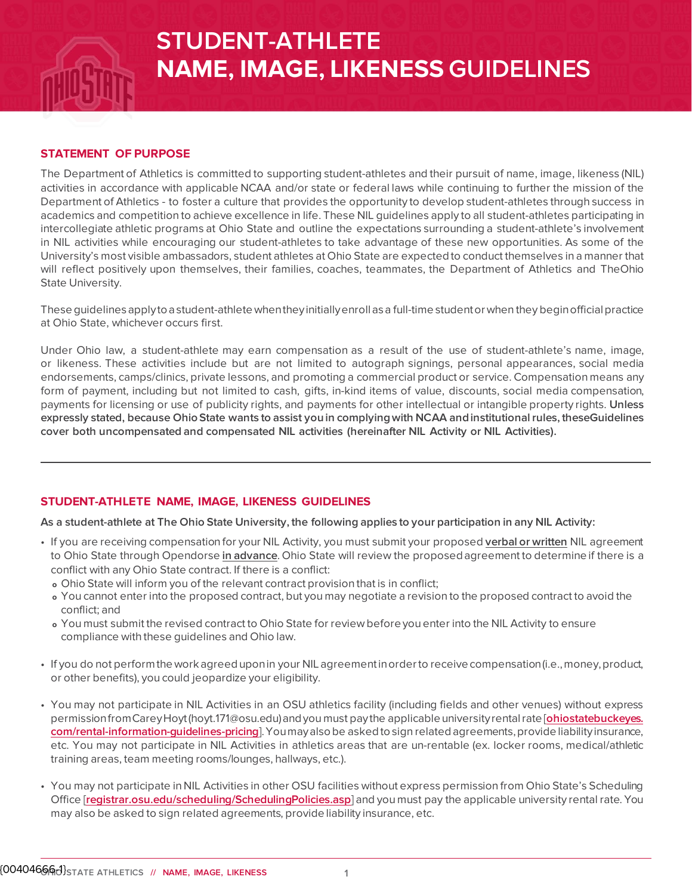# **STUDENT-ATHLETE NAME, IMAGE, LIKENESS GUIDELINES**

#### **STATEMENT OF PURPOSE**

The Department of Athletics is committed to supporting student-athletes and their pursuit of name, image, likeness (NIL) activities in accordance with applicable NCAA and/or state or federal laws while continuing to further the mission of the Department of Athletics - to foster a culture that provides the opportunity to develop student-athletes through success in academics and competition to achieve excellence in life. These NIL guidelines apply to all student-athletes participating in intercollegiate athletic programs at Ohio State and outline the expectations surrounding a student-athlete's involvement in NIL activities while encouraging our student-athletes to take advantage of these new opportunities. As some of the University's most visible ambassadors, student athletes at Ohio State are expected to conduct themselves in a manner that will reflect positively upon themselves, their families, coaches, teammates, the Department of Athletics and TheOhio State University.

These guidelines apply to a student-athlete when they initially enroll as a full-time student or when they begin officialpractice at Ohio State, whichever occurs first.

Under Ohio law, a student-athlete may earn compensation as a result of the use of student-athlete's name, image, or likeness. These activities include but are not limited to autograph signings, personal appearances, social media endorsements, camps/clinics, private lessons, and promoting a commercial product or service. Compensation means any form of payment, including but not limited to cash, gifts, in-kind items of value, discounts, social media compensation, payments for licensing or use of publicity rights, and payments for other intellectual or intangible property rights. **Unless expressly stated, because OhioState wants to assist youin complyingwith NCAA andinstitutionalrules, theseGuidelines cover both uncompensated and compensated NIL activities (hereinafter NIL Activity or NIL Activities).**

### **STUDENT-ATHLETE NAME, IMAGE, LIKENESS GUIDELINES**

As a student-athlete at The Ohio State University, the following applies to your participation in any NIL Activity:

- If you are receiving compensation for your NIL Activity, you must submit your proposed **verbal or written** NIL agreement to Ohio State through Opendorse **in advance**. Ohio State will review the proposed agreement to determine if there is a conflict with any Ohio State contract. If there is a conflict:
	- **o** Ohio State will inform you of the relevant contract provision that is in conflict;
	- **o** You cannot enter into the proposed contract, but you may negotiate a revision to the proposed contract to avoid the conflict; and
	- **o** You must submit the revised contract to Ohio State for review before you enter into the NIL Activity to ensure compliance with these guidelines and Ohio law.
- If you do not performthework agreeduponin your NIL agreementinorderto receive compensation(i.e.,money,product, or other benefits), you could jeopardize your eligibility.
- You may not participate in NIL Activities in an OSU athletics facility (including fields and other venues) without express permissionfromCareyHoyt(hoyt.171@osu.edu)andyou must paythe applicable universityrentalrate [**[ohiostatebuckeyes.](http://ohiostatebuckeyes.com/rental-information-guidelines-pricing) [com/rental-information-guidelines-pricing](http://ohiostatebuckeyes.com/rental-information-guidelines-pricing)**].Youmayalsobe askedtosign relatedagreements,provide liabilityinsurance, etc. You may not participate in NIL Activities in athletics areas that are un-rentable (ex. locker rooms, medical/athletic training areas, team meeting rooms/lounges, hallways, etc.).
- You may not participate in NIL Activities in other OSU facilities without express permission from Ohio State's Scheduling Office [**[registrar.osu.edu/scheduling/SchedulingPolicies.asp](https://registrar.osu.edu/scheduling/SchedulingPolicies.asp)**] and you must pay the applicable university rental rate. You may also be asked to sign related agreements, provide liability insurance, etc.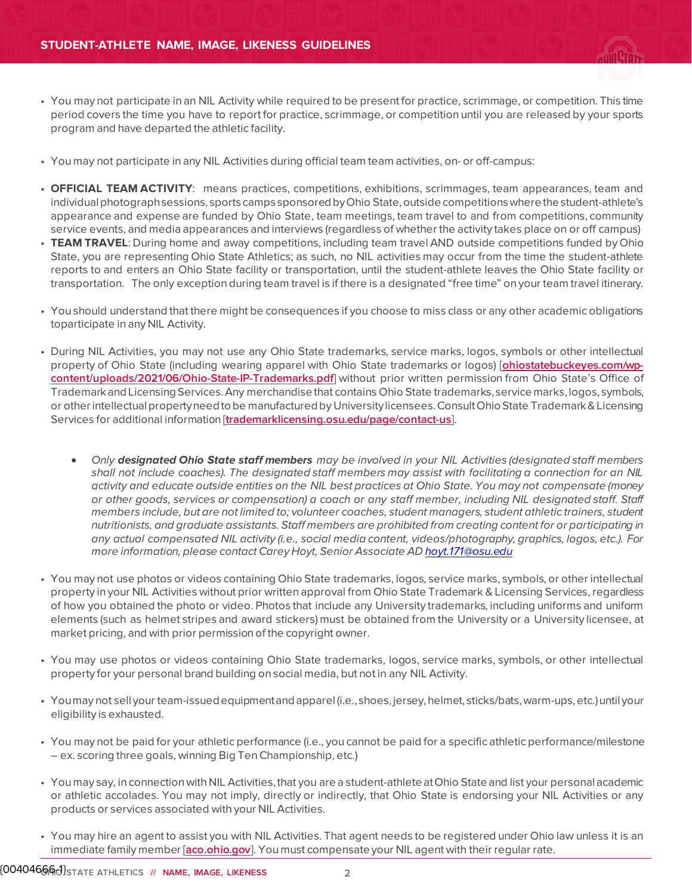- You may not participate in an NIL Activity while required to be present for practice, scrimmage, or competition. This time period covers the time you have to report for practice, scrimmage, or competition until you are released by your sports program and have departed the athletic facility.
- You may not participate in any NIL Activities during official team team activities, on- or off-campus:
- **OFFICIAL TEAM ACTIVITY**: means practices, competitions, exhibitions, scrimmages, team appearances, team and individual photograph sessions, sports camps sponsored by Ohio State, outside competitions where the student-athlete's appearance and expense are funded by Ohio State, team meetings, team travel to and from competitions, community service events, and media appearances and interviews (regardless of whether the activity takes place on or off campus)
- **TEAM TRAVEL**: During home and away competitions, including team travel AND outside competitions funded by Ohio State, you are representing Ohio State Athletics; as such, no NIL activities may occur from the time the student-athlete reports to and enters an Ohio State facility or transportation, until the student-athlete leaves the Ohio State facility or transportation. The only exception during team travel is if there is a designated "free time" on your team travel itinerary.
- You should understand that there might be consequences if you choose to miss class or any other academic obligations toparticipate in any NIL Activity.
- During NIL Activities, you may not use any Ohio State trademarks, service marks, logos, symbols or other intellectual property of Ohio State (including wearing apparel with Ohio State trademarks or logos) [**[ohiostatebuckeyes.com/wp](https://ohiostatebuckeyes.com/wp-content/uploads/2021/06/Ohio-State-IP-Trademarks.pdf)[content/uploads/2021/06/Ohio-State-IP-Trademarks.pdf](https://ohiostatebuckeyes.com/wp-content/uploads/2021/06/Ohio-State-IP-Trademarks.pdf)**] without prior written permission from Ohio State's Office of Trademark and Licensing Services. Any merchandise that contains Ohio State trademarks, service marks, logos, symbols, or other intellectual propertyneed to be manufactured by Universitylicensees. Consult Ohio State Trademark & Licensing Services for additional information [**[trademarklicensing.osu.edu/page/contact-us](https://trademarklicensing.osu.edu/page/contact-us)**].
	- Only **designated Ohio State staff members** may be involved in your NIL Activities (designated staff members shall not include coaches). The designated staff members may assist with facilitating a connection for an NIL activity and educate outside entities on the NIL best practices at Ohio State. You may not compensate (money or other goods, services or compensation) a coach or any staff member, including NIL designated staff. Staff members include, but are not limited to; volunteer coaches, student managers, student athletic trainers, student nutritionists, and graduate assistants. Staff members are prohibited from creating content for or participating in any actual compensated NIL activity (i.e., social media content, videos/photography, graphics, logos, etc.). For more information, please contact Carey Hoyt, Senior Associate A[D hoyt.171@osu.edu](mailto:hoyt.171@osu.edu)
- You may not use photos or videos containing Ohio State trademarks, logos, service marks, symbols, or other intellectual property in your NIL Activities without prior written approval from Ohio State Trademark & Licensing Services, regardless of how you obtained the photo or video. Photos that include any University trademarks, including uniforms and uniform elements (such as helmet stripes and award stickers) must be obtained from the University or a University licensee, at market pricing, and with prior permission of the copyright owner.
- You may use photos or videos containing Ohio State trademarks, logos, service marks, symbols, or other intellectual property for your personal brand building on social media, but not in any NIL Activity.
- Youmay not sell your team-issuedequipmentandapparel (i.e., shoes, jersey,helmet, sticks/bats,warm-ups,etc.)until your eligibility is exhausted.
- You may not be paid for your athletic performance (i.e., you cannot be paid for a specific athletic performance/milestone – ex. scoring three goals, winning Big TenChampionship, etc.)
- You may say, in connection with NIL Activities, that you are a student-athlete at Ohio State and list your personal academic or athletic accolades. You may not imply, directly or indirectly, that Ohio State is endorsing your NIL Activities or any products or services associated with your NIL Activities.
- You may hire an agent to assist you with NIL Activities. That agent needs to be registered under Ohio law unless it is an immediate family member [**[aco.ohio.gov](https://www.aco.ohio.gov/)**]. You must compensate your NIL agent with their regular rate.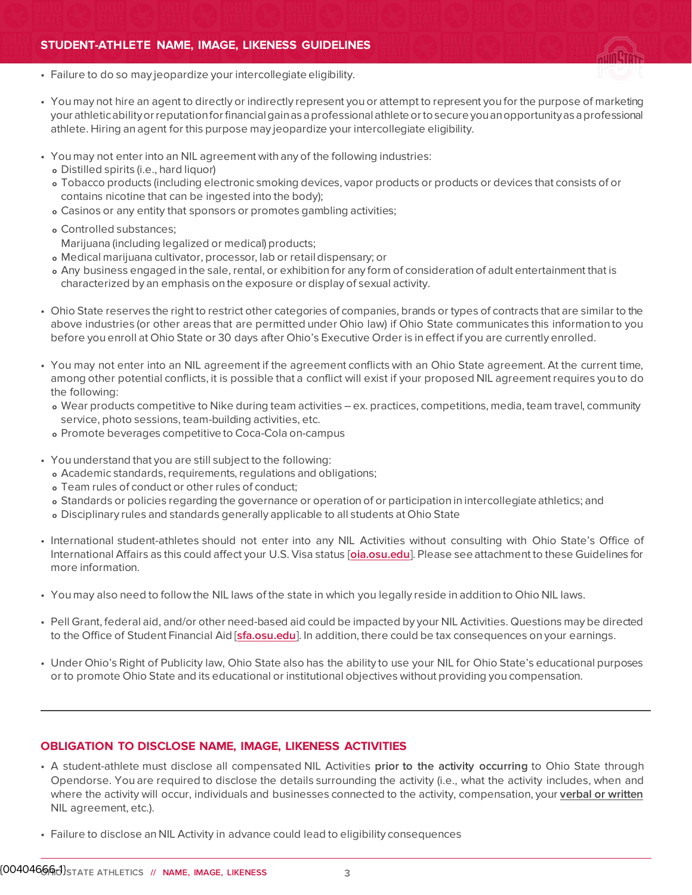

- Failure to do so may jeopardize your intercollegiate eligibility.
- You may not hire an agent to directly or indirectly represent you or attempt to represent you for the purpose of marketing your athleticabilityorreputationforfinancialgainasaprofessionalathlete ortosecure youanopportunityasaprofessional athlete. Hiring an agent for this purpose may jeopardize your intercollegiate eligibility.
- You may not enter into an NIL agreement with any of the following industries:
	- **o** Distilled spirits (i.e., hard liquor)
	- **o** Tobacco products (including electronic smoking devices, vapor products or products or devices that consists of or contains nicotine that can be ingested into the body);
	- **o** Casinos or any entity that sponsors or promotes gambling activities;
	- **o** Controlled substances;

•

- Marijuana (including legalized or medical) products;
- **o** Medical marijuana cultivator, processor, lab or retaildispensary; or
- **o** Any business engaged in the sale, rental, or exhibition for any form of consideration of adult entertainment that is characterized by an emphasis on the exposure or display of sexual activity.
- Ohio State reserves the right to restrict other categories of companies, brands or types of contracts that are similar to the above industries (or other areas that are permitted under Ohio law) if Ohio State communicates this information to you before you enroll at Ohio State or 30 days after Ohio's Executive Order is in effect if you are currently enrolled.
- You may not enter into an NIL agreement if the agreement conflicts with an Ohio State agreement. At the current time, among other potential conflicts, it is possible that a conflict will exist if your proposed NIL agreement requires you to do the following:
	- **o** Wear products competitive to Nike during team activities ex. practices, competitions, media, team travel, community service, photo sessions, team-building activities, etc.
	- **o** Promote beverages competitive to Coca-Cola on-campus
- You understand that you are still subject to the following:
	- **o** Academic standards, requirements, regulations and obligations;
	- **o** Team rules of conduct or other rules of conduct;
	- **o** Standards or policies regarding the governance or operation of or participation in intercollegiate athletics; and
	- **o** Disciplinary rules and standards generally applicable to all students at Ohio State
- International student-athletes should not enter into any NIL Activities without consulting with Ohio State's Office of International Affairs as this could affect your U.S. Visa status [**[oia.osu.edu](https://oia.osu.edu/)**]. Please see attachment to these Guidelines for more information.
- You may also need to follow the NIL laws of the state in which you legally reside in addition to Ohio NIL laws.
- Pell Grant, federal aid, and/or other need-based aid could be impacted by your NIL Activities. Questions may be directed to the Office of Student Financial Aid [**[sfa.osu.edu](https://sfa.osu.edu/)**]. In addition, there could be tax consequences on your earnings.
- Under Ohio's Right of Publicity law, Ohio State also has the ability to use your NIL for Ohio State's educational purposes or to promote Ohio State and its educational or institutional objectives without providing you compensation.

#### **OBLIGATION TO DISCLOSE NAME, IMAGE, LIKENESS ACTIVITIES**

- A student-athlete must disclose all compensated NIL Activities **prior to the activity occurring** to Ohio State through Opendorse. You are required to disclose the details surrounding the activity (i.e., what the activity includes, when and where the activity will occur, individuals and businesses connected to the activity, compensation, your **verbal or written** NIL agreement, etc.).
- Failure to disclose an NIL Activity in advance could lead to eligibility consequences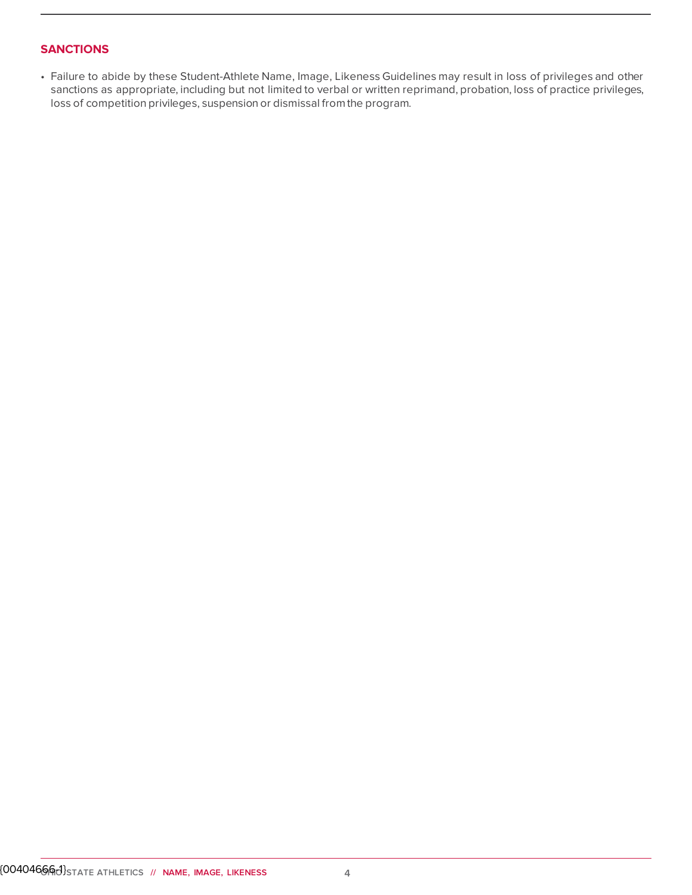## **SANCTIONS**

• Failure to abide by these Student-Athlete Name, Image, Likeness Guidelines may result in loss of privileges and other sanctions as appropriate, including but not limited to verbal or written reprimand, probation, loss of practice privileges, loss of competition privileges, suspension or dismissal from the program.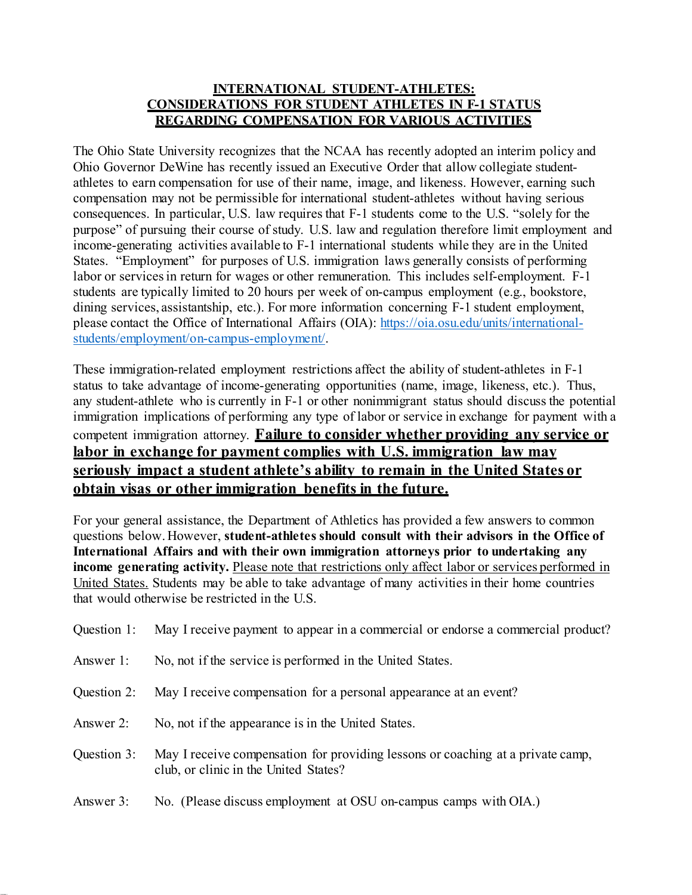# **INTERNATIONAL STUDENT-ATHLETES: CONSIDERATIONS FOR STUDENT ATHLETES IN F-1 STATUS REGARDING COMPENSATION FOR VARIOUS ACTIVITIES**

The Ohio State University recognizes that the NCAA has recently adopted an interim policy and Ohio Governor DeWine has recently issued an Executive Order that allow collegiate studentathletes to earn compensation for use of their name, image, and likeness. However, earning such compensation may not be permissible for international student-athletes without having serious consequences. In particular, U.S. law requires that F-1 students come to the U.S. "solely for the purpose" of pursuing their course of study. U.S. law and regulation therefore limit employment and income-generating activities available to F-1 international students while they are in the United States. "Employment" for purposes of U.S. immigration laws generally consists of performing labor or services in return for wages or other remuneration. This includes self-employment. F-1 students are typically limited to 20 hours per week of on-campus employment (e.g., bookstore, dining services, assistantship, etc.). For more information concerning F-1 student employment, please contact the Office of International Affairs (OIA): https://oia.osu.edu/units/internationalstudents/employment/on-campus-employment/.

These immigration-related employment restrictions affect the ability of student-athletes in F-1 status to take advantage of income-generating opportunities (name, image, likeness, etc.). Thus, any student-athlete who is currently in F-1 or other nonimmigrant status should discuss the potential immigration implications of performing any type of labor or service in exchange for payment with a competent immigration attorney. **Failure to consider whether providing any service or labor in exchange for payment complies with U.S. immigration law may seriously impact a student athlete's ability to remain in the United States or obtain visas or other immigration benefits in the future.**

For your general assistance, the Department of Athletics has provided a few answers to common questions below. However, **student-athletes should consult with their advisors in the Office of International Affairs and with their own immigration attorneys prior to undertaking any income generating activity.** Please note that restrictions only affect labor or services performed in United States. Students may be able to take advantage of many activities in their home countries that would otherwise be restricted in the U.S.

| Question 1: | May I receive payment to appear in a commercial or endorse a commercial product?                                         |
|-------------|--------------------------------------------------------------------------------------------------------------------------|
| Answer 1:   | No, not if the service is performed in the United States.                                                                |
| Question 2: | May I receive compensation for a personal appearance at an event?                                                        |
| Answer 2:   | No, not if the appearance is in the United States.                                                                       |
| Question 3: | May I receive compensation for providing lessons or coaching at a private camp,<br>club, or clinic in the United States? |
| Answer 3:   | No. (Please discuss employment at OSU on-campus camps with OIA.)                                                         |

{ 00404666- 1 }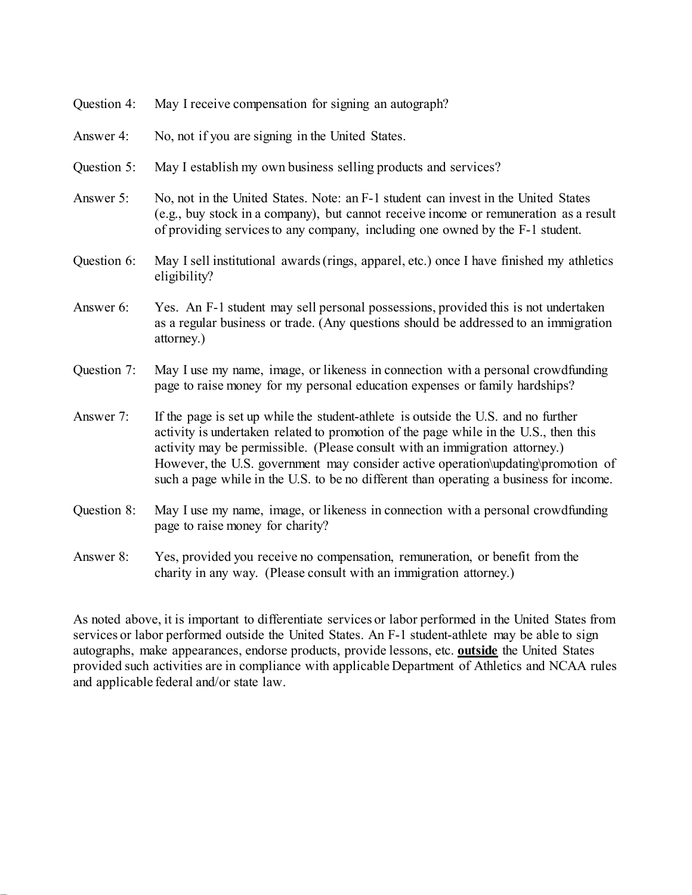| Question 4: | May I receive compensation for signing an autograph?                                                                                                                                                                                                                                                                                                                                                                                    |
|-------------|-----------------------------------------------------------------------------------------------------------------------------------------------------------------------------------------------------------------------------------------------------------------------------------------------------------------------------------------------------------------------------------------------------------------------------------------|
| Answer 4:   | No, not if you are signing in the United States.                                                                                                                                                                                                                                                                                                                                                                                        |
| Question 5: | May I establish my own business selling products and services?                                                                                                                                                                                                                                                                                                                                                                          |
| Answer 5:   | No, not in the United States. Note: an F-1 student can invest in the United States<br>(e.g., buy stock in a company), but cannot receive income or remuneration as a result<br>of providing services to any company, including one owned by the F-1 student.                                                                                                                                                                            |
| Question 6: | May I sell institutional awards (rings, apparel, etc.) once I have finished my athletics<br>eligibility?                                                                                                                                                                                                                                                                                                                                |
| Answer 6:   | Yes. An F-1 student may sell personal possessions, provided this is not undertaken<br>as a regular business or trade. (Any questions should be addressed to an immigration<br>attorney.)                                                                                                                                                                                                                                                |
| Question 7: | May I use my name, image, or likeness in connection with a personal crowdfunding<br>page to raise money for my personal education expenses or family hardships?                                                                                                                                                                                                                                                                         |
| Answer 7:   | If the page is set up while the student-athlete is outside the U.S. and no further<br>activity is undertaken related to promotion of the page while in the U.S., then this<br>activity may be permissible. (Please consult with an immigration attorney.)<br>However, the U.S. government may consider active operation\updating\promotion of<br>such a page while in the U.S. to be no different than operating a business for income. |
| Question 8: | May I use my name, image, or likeness in connection with a personal crowdfunding<br>page to raise money for charity?                                                                                                                                                                                                                                                                                                                    |
| Answer 8:   | Yes, provided you receive no compensation, remuneration, or benefit from the                                                                                                                                                                                                                                                                                                                                                            |

As noted above, it is important to differentiate services or labor performed in the United States from services or labor performed outside the United States. An F-1 student-athlete may be able to sign autographs, make appearances, endorse products, provide lessons, etc. **outside** the United States provided such activities are in compliance with applicable Department of Athletics and NCAA rules and applicable federal and/or state law.

charity in any way. (Please consult with an immigration attorney.)

{ 00404666- 1 }